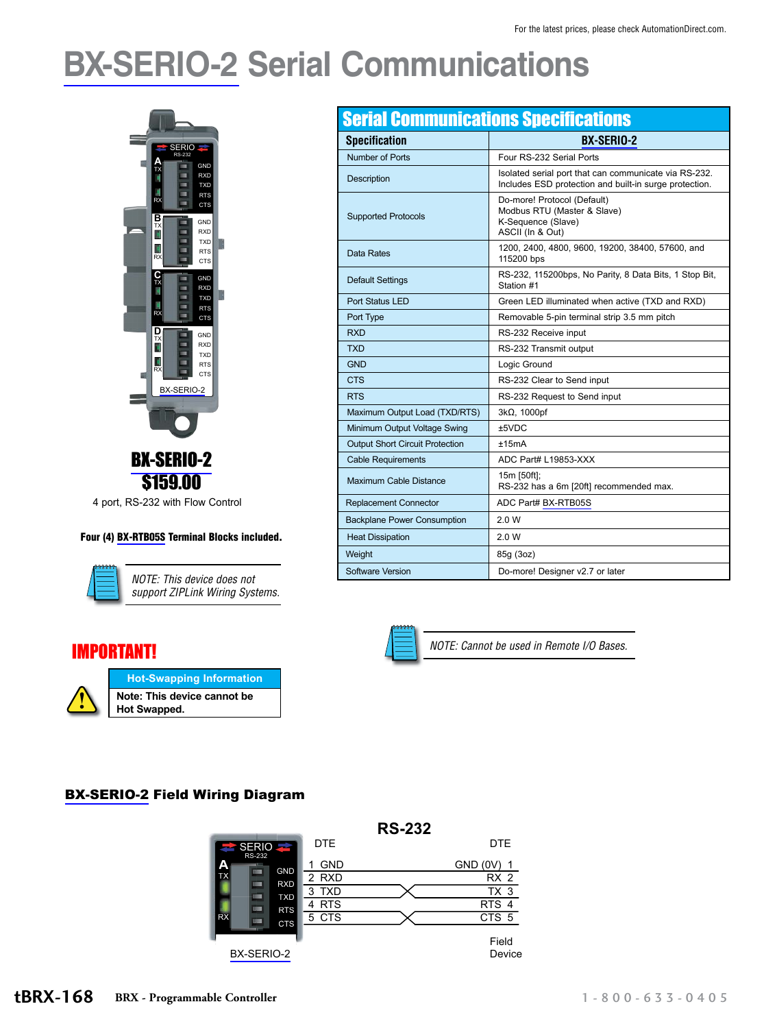# **[BX-SERIO-2](http://www.automationdirect.com/pn/BX-SERIO-2) Serial Communications**



#### Four (4) [BX-RTB05S](http://www.automationdirect.com/pn/BX-RTB05S) Terminal Blocks included.



*NOTE: This device does not support ZIPLink Wiring Systems.*

#### IMPORTANT!



| <b>Serial Communications Specifications</b> |                                                                                                                 |  |  |  |
|---------------------------------------------|-----------------------------------------------------------------------------------------------------------------|--|--|--|
| <b>Specification</b>                        | <b>BX-SERIO-2</b>                                                                                               |  |  |  |
| Number of Ports                             | Four RS-232 Serial Ports                                                                                        |  |  |  |
| Description                                 | Isolated serial port that can communicate via RS-232.<br>Includes ESD protection and built-in surge protection. |  |  |  |
| <b>Supported Protocols</b>                  | Do-more! Protocol (Default)<br>Modbus RTU (Master & Slave)<br>K-Sequence (Slave)<br>ASCII (In & Out)            |  |  |  |
| Data Rates                                  | 1200, 2400, 4800, 9600, 19200, 38400, 57600, and<br>115200 bps                                                  |  |  |  |
| <b>Default Settings</b>                     | RS-232, 115200bps, No Parity, 8 Data Bits, 1 Stop Bit,<br>Station #1                                            |  |  |  |
| Port Status LED                             | Green LED illuminated when active (TXD and RXD)                                                                 |  |  |  |
| Port Type                                   | Removable 5-pin terminal strip 3.5 mm pitch                                                                     |  |  |  |
| <b>RXD</b>                                  | RS-232 Receive input                                                                                            |  |  |  |
| <b>TXD</b>                                  | RS-232 Transmit output                                                                                          |  |  |  |
| <b>GND</b>                                  | Logic Ground                                                                                                    |  |  |  |
| <b>CTS</b>                                  | RS-232 Clear to Send input                                                                                      |  |  |  |
| <b>RTS</b>                                  | RS-232 Request to Send input                                                                                    |  |  |  |
| Maximum Output Load (TXD/RTS)               | 3kΩ, 1000pf                                                                                                     |  |  |  |
| Minimum Output Voltage Swing                | ±5VDC                                                                                                           |  |  |  |
| <b>Output Short Circuit Protection</b>      | ±15mA                                                                                                           |  |  |  |
| <b>Cable Requirements</b>                   | ADC Part# L19853-XXX                                                                                            |  |  |  |
| Maximum Cable Distance                      | 15m [50ft];<br>RS-232 has a 6m [20ft] recommended max.                                                          |  |  |  |
| <b>Replacement Connector</b>                | ADC Part# BX-RTB05S                                                                                             |  |  |  |
| <b>Backplane Power Consumption</b>          | 2.0 W                                                                                                           |  |  |  |
| <b>Heat Dissipation</b>                     | 2.0 W                                                                                                           |  |  |  |
| Weight                                      | 85g (3oz)                                                                                                       |  |  |  |
| Software Version                            | Do-more! Designer v2.7 or later                                                                                 |  |  |  |



*NOTE: Cannot be used in Remote I/O Bases.*

#### [BX-SERIO-2](http://www.automationdirect.com/pn/BX-SERIO-2) Field Wiring Diagram

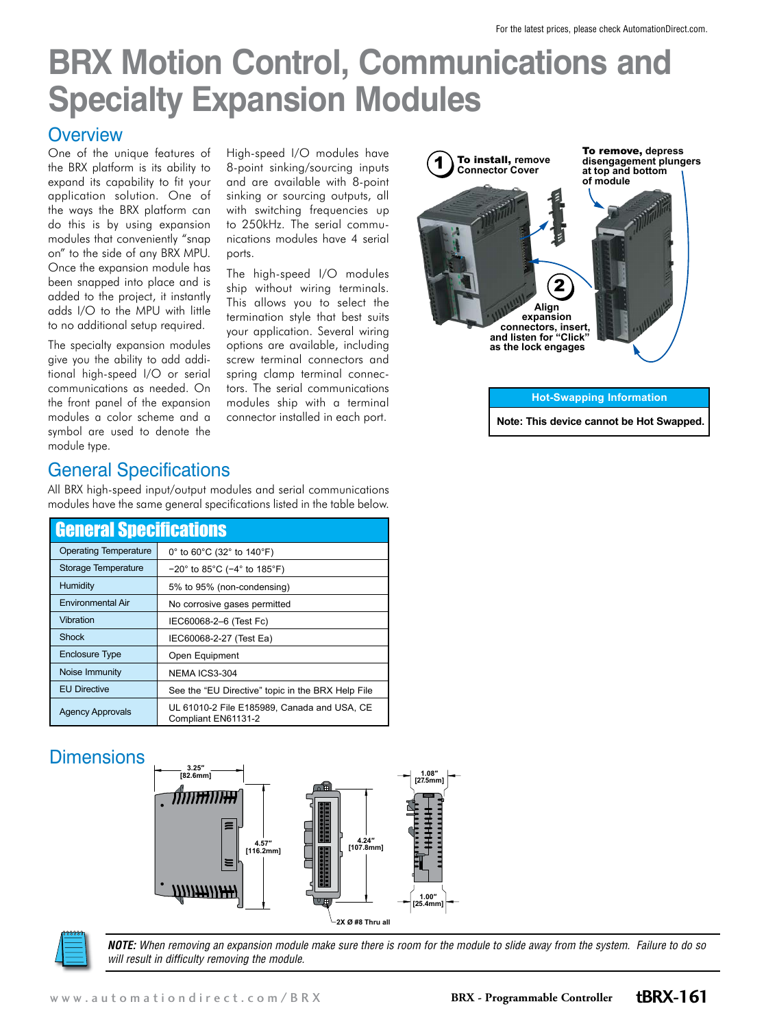## **BRX Motion Control, Communications and Specialty Expansion Modules**

#### **Overview**

One of the unique features of the BRX platform is its ability to expand its capability to fit your application solution. One of the ways the BRX platform can do this is by using expansion modules that conveniently "snap on" to the side of any BRX MPU. Once the expansion module has been snapped into place and is added to the project, it instantly adds I/O to the MPU with little to no additional setup required.

The specialty expansion modules give you the ability to add additional high-speed I/O or serial communications as needed. On the front panel of the expansion modules a color scheme and a symbol are used to denote the module type.

High-speed I/O modules have 8-point sinking/sourcing inputs and are available with 8-point sinking or sourcing outputs, all with switching frequencies up to 250kHz. The serial communications modules have 4 serial ports.

The high-speed I/O modules ship without wiring terminals. This allows you to select the termination style that best suits your application. Several wiring options are available, including screw terminal connectors and spring clamp terminal connectors. The serial communications modules ship with a terminal connector installed in each port.



**Note: This device cannot be Hot Swapped.**

### General Specifications

All BRX high-speed input/output modules and serial communications modules have the same general specifications listed in the table below.

| <b>General Specifications</b> |                                                                      |  |
|-------------------------------|----------------------------------------------------------------------|--|
| <b>Operating Temperature</b>  | 0° to 60°C (32° to 140°F)                                            |  |
| Storage Temperature           | $-20^{\circ}$ to 85 $^{\circ}$ C ( $-4^{\circ}$ to 185 $^{\circ}$ F) |  |
| Humidity                      | 5% to 95% (non-condensing)                                           |  |
| Environmental Air             | No corrosive gases permitted                                         |  |
| Vibration                     | IEC60068-2-6 (Test Fc)                                               |  |
| <b>Shock</b>                  | IEC60068-2-27 (Test Ea)                                              |  |
| <b>Enclosure Type</b>         | Open Equipment                                                       |  |
| Noise Immunity                | NEMA ICS3-304                                                        |  |
| <b>EU Directive</b>           | See the "EU Directive" topic in the BRX Help File                    |  |
| <b>Agency Approvals</b>       | UL 61010-2 File E185989, Canada and USA, CE<br>Compliant EN61131-2   |  |

### **Dimensions**





*NOTE: When removing an expansion module make sure there is room for the module to slide away from the system. Failure to do so will result in difficulty removing the module.*